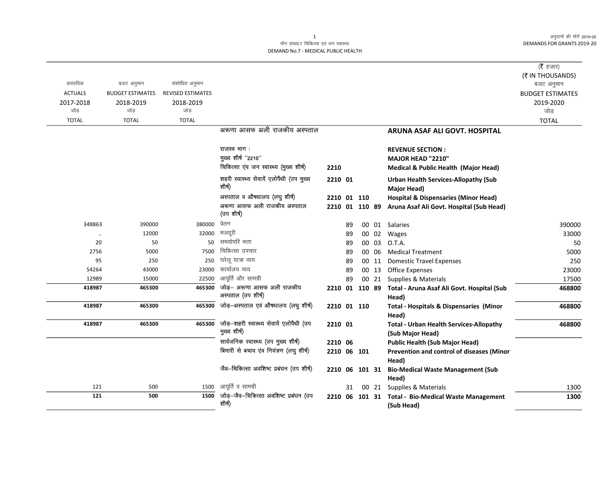अनुदानों की माँगें 2019-20 **DEMANDS FOR GRANTS 2019-20** 

## माँग संख्या.7 चिकित्सा एवं जन स्वास्थ्य DEMAND No.7 - MEDICAL PUBLIC HEALTH

|                |                         |                          |                                                         |                |    |                |       |                                                                    | ( $\bar{\tau}$ हजार)<br>(₹ IN THOUSANDS) |
|----------------|-------------------------|--------------------------|---------------------------------------------------------|----------------|----|----------------|-------|--------------------------------------------------------------------|------------------------------------------|
| वास्तविक       | बजट अनुमान              | संशोधित अनुमान           |                                                         |                |    |                |       |                                                                    | बजट अनुमान                               |
| <b>ACTUALS</b> | <b>BUDGET ESTIMATES</b> | <b>REVISED ESTIMATES</b> |                                                         |                |    |                |       |                                                                    | <b>BUDGET ESTIMATES</b>                  |
| 2017-2018      | 2018-2019               | 2018-2019                |                                                         |                |    |                |       |                                                                    | 2019-2020                                |
| जोड            | जोड                     | जोड                      |                                                         |                |    |                |       |                                                                    | जोड़                                     |
| <b>TOTAL</b>   | <b>TOTAL</b>            | <b>TOTAL</b>             |                                                         |                |    |                |       |                                                                    | <b>TOTAL</b>                             |
|                |                         |                          | अरूणा आसफ अली राजकीय अस्पताल                            |                |    |                |       | <b>ARUNA ASAF ALI GOVT. HOSPITAL</b>                               |                                          |
|                |                         |                          |                                                         |                |    |                |       |                                                                    |                                          |
|                |                         |                          | राजस्व भाग:                                             |                |    |                |       | <b>REVENUE SECTION:</b>                                            |                                          |
|                |                         |                          | मुख्य शीर्ष "2210"                                      |                |    |                |       | MAJOR HEAD "2210"                                                  |                                          |
|                |                         |                          | चिकित्सा एंव जन स्वास्थ्य (मुख्य शीर्ष)                 | 2210           |    |                |       | Medical & Public Health (Major Head)                               |                                          |
|                |                         |                          | शहरी स्वास्थ्य सेवायें एलोपैथी (उप मुख्य                | 2210 01        |    |                |       | <b>Urban Health Services-Allopathy (Sub</b>                        |                                          |
|                |                         |                          | शीर्ष)                                                  |                |    |                |       | Major Head)                                                        |                                          |
|                |                         |                          | अस्पताल व औषधालय (लघु शीर्ष)                            | 2210 01 110    |    |                |       | <b>Hospital &amp; Dispensaries (Minor Head)</b>                    |                                          |
|                |                         |                          | अरूणा आसफ अली राजकीय अस्पताल<br>(उप शीर्ष)              | 2210 01 110 89 |    |                |       | Aruna Asaf Ali Govt. Hospital (Sub Head)                           |                                          |
| 348863         | 390000                  | 380000                   | वेतन                                                    |                | 89 |                |       | 00 01 Salaries                                                     | 390000                                   |
|                | 12000                   | 32000                    | मजदूरी                                                  |                | 89 |                | 00 02 | Wages                                                              | 33000                                    |
| 20             | 50                      |                          | 50 समयोपरि भत्ता                                        |                | 89 |                | 00 03 | O.T.A.                                                             | 50                                       |
| 2756           | 5000                    | 7500                     | चिकित्सा उपचार                                          |                | 89 |                | 00 06 | <b>Medical Treatment</b>                                           | 5000                                     |
| 95             | 250                     | 250                      | घरेलू यात्रा व्यय                                       |                | 89 |                | 00 11 | <b>Domestic Travel Expenses</b>                                    | 250                                      |
| 54264          | 43000                   | 23000                    | कार्यालय व्यय                                           |                | 89 |                | 00 13 | <b>Office Expenses</b>                                             | 23000                                    |
| 12989          | 15000                   | 22500                    | आपूर्ति और सामग्री                                      |                | 89 |                |       | 00 21 Supplies & Materials                                         | 17500                                    |
| 418987         | 465300                  | 465300                   | जोड़- अरूणा आसफ अली राजकीय<br>अस्पताल (उप शीर्ष)        |                |    |                |       | 2210 01 110 89 Total - Aruna Asaf Ali Govt. Hospital (Sub<br>Head) | 468800                                   |
| 418987         | 465300                  | 465300                   | जोड़-अस्पताल एवं औषधालय (लघु शीर्ष)                     | 2210 01 110    |    |                |       | <b>Total - Hospitals &amp; Dispensaries (Minor</b><br>Head)        | 468800                                   |
| 418987         | 465300                  | 465300                   | जोड़-शहरी स्वास्थ्य सेवायें एलोपैथी (उप<br>मुख्य शीर्ष) | 2210 01        |    |                |       | <b>Total - Urban Health Services-Allopathy</b><br>(Sub Major Head) | 468800                                   |
|                |                         |                          | सार्वजनिक स्वास्थ्य (उप मुख्य शीर्ष)                    | 2210 06        |    |                |       | <b>Public Health (Sub Major Head)</b>                              |                                          |
|                |                         |                          | बिमारी से बचाव एंव नियंत्रण (लघु शीर्ष)                 | 2210 06 101    |    |                |       | Prevention and control of diseases (Minor                          |                                          |
|                |                         |                          |                                                         |                |    |                |       | Head)                                                              |                                          |
|                |                         |                          | जैव-चिकित्सा अवशिष्ट प्रबंघन (उप शीर्ष)                 | 2210 06 101 31 |    |                |       | <b>Bio-Medical Waste Management (Sub</b>                           |                                          |
|                |                         |                          |                                                         |                |    |                |       | Head)                                                              |                                          |
| 121            | 500                     | 1500                     | आपूर्ति व सामग्री                                       |                | 31 |                | 00 21 | Supplies & Materials                                               | 1300                                     |
| 121            | 500                     | 1500                     | जोड़-जैव-चिकित्सा अवशिष्ट प्रबंघन (उप                   |                |    | 2210 06 101 31 |       | <b>Total - Bio-Medical Waste Management</b>                        | 1300                                     |
|                |                         |                          | शीर्ष)                                                  |                |    |                |       | (Sub Head)                                                         |                                          |

 $\overline{1}$